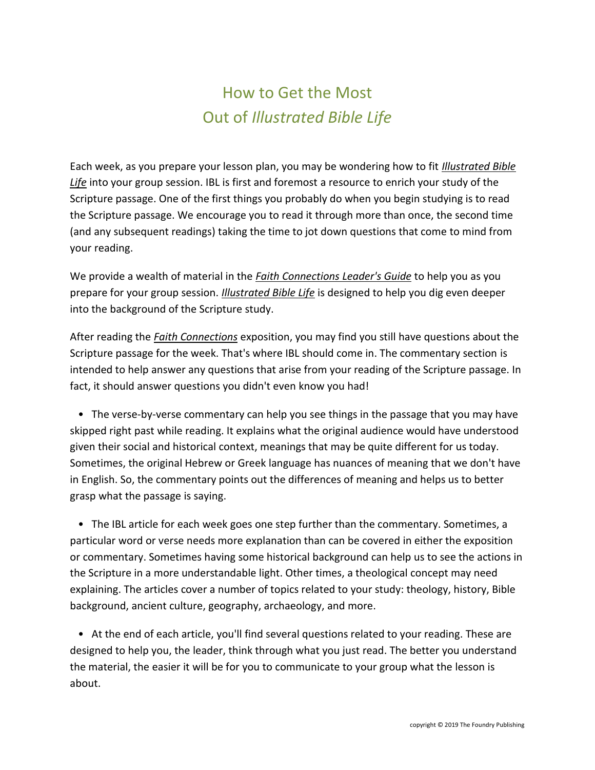## How to Get the Most Out of *Illustrated Bible Life*

Each week, as you prepare your lesson plan, you may be wondering how to fit *Illustrated Bible Life* into your group session. IBL is first and foremost a resource to enrich your study of the Scripture passage. One of the first things you probably do when you begin studying is to read the Scripture passage. We encourage you to read it through more than once, the second time (and any subsequent readings) taking the time to jot down questions that come to mind from your reading.

We provide a wealth of material in the *Faith Connections Leader's Guide* to help you as you prepare for your group session. *Illustrated Bible Life* is designed to help you dig even deeper into the background of the Scripture study.

After reading the *Faith Connections* exposition, you may find you still have questions about the Scripture passage for the week. That's where IBL should come in. The commentary section is intended to help answer any questions that arise from your reading of the Scripture passage. In fact, it should answer questions you didn't even know you had!

 • The verse-by-verse commentary can help you see things in the passage that you may have skipped right past while reading. It explains what the original audience would have understood given their social and historical context, meanings that may be quite different for us today. Sometimes, the original Hebrew or Greek language has nuances of meaning that we don't have in English. So, the commentary points out the differences of meaning and helps us to better grasp what the passage is saying.

 • The IBL article for each week goes one step further than the commentary. Sometimes, a particular word or verse needs more explanation than can be covered in either the exposition or commentary. Sometimes having some historical background can help us to see the actions in the Scripture in a more understandable light. Other times, a theological concept may need explaining. The articles cover a number of topics related to your study: theology, history, Bible background, ancient culture, geography, archaeology, and more.

 • At the end of each article, you'll find several questions related to your reading. These are designed to help you, the leader, think through what you just read. The better you understand the material, the easier it will be for you to communicate to your group what the lesson is about.